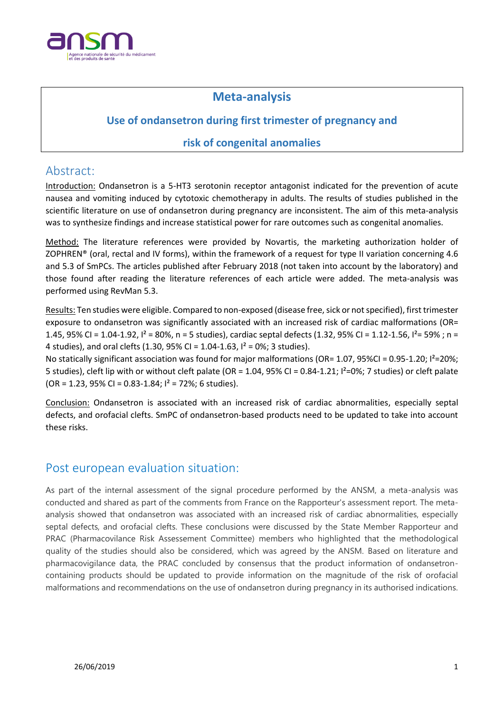

# **Meta-analysis**

### **Use of ondansetron during first trimester of pregnancy and**

### **risk of congenital anomalies**

## Abstract:

Introduction: Ondansetron is a 5-HT3 serotonin receptor antagonist indicated for the prevention of acute nausea and vomiting induced by cytotoxic chemotherapy in adults. The results of studies published in the scientific literature on use of ondansetron during pregnancy are inconsistent. The aim of this meta-analysis was to synthesize findings and increase statistical power for rare outcomes such as congenital anomalies.

Method: The literature references were provided by Novartis, the marketing authorization holder of ZOPHREN® (oral, rectal and IV forms), within the framework of a request for type II variation concerning 4.6 and 5.3 of SmPCs. The articles published after February 2018 (not taken into account by the laboratory) and those found after reading the literature references of each article were added. The meta-analysis was performed using RevMan 5.3.

Results: Ten studies were eligible. Compared to non-exposed (disease free, sick or not specified), first trimester exposure to ondansetron was significantly associated with an increased risk of cardiac malformations (OR= 1.45, 95% CI = 1.04-1.92,  $I^2$  = 80%, n = 5 studies), cardiac septal defects (1.32, 95% CI = 1.12-1.56,  $I^2$ = 59% ; n = 4 studies), and oral clefts (1.30, 95% CI = 1.04-1.63,  $I^2 = 0$ %; 3 studies).

No statically significant association was found for major malformations (OR= 1.07, 95%CI = 0.95-1.20; I²=20%; 5 studies), cleft lip with or without cleft palate (OR = 1.04, 95% CI = 0.84-1.21; I²=0%; 7 studies) or cleft palate  $(OR = 1.23, 95\% CI = 0.83 - 1.84; I<sup>2</sup> = 72\%; 6 studies).$ 

Conclusion: Ondansetron is associated with an increased risk of cardiac abnormalities, especially septal defects, and orofacial clefts. SmPC of ondansetron-based products need to be updated to take into account these risks.

## Post european evaluation situation:

As part of the internal assessment of the signal procedure performed by the ANSM, a meta-analysis was conducted and shared as part of the comments from France on the Rapporteur's assessment report. The metaanalysis showed that ondansetron was associated with an increased risk of cardiac abnormalities, especially septal defects, and orofacial clefts. These conclusions were discussed by the State Member Rapporteur and PRAC (Pharmacovilance Risk Assessement Committee) members who highlighted that the methodological quality of the studies should also be considered, which was agreed by the ANSM. Based on literature and pharmacovigilance data, the PRAC concluded by consensus that the product information of ondansetroncontaining products should be updated to provide information on the magnitude of the risk of orofacial malformations and recommendations on the use of ondansetron during pregnancy in its authorised indications.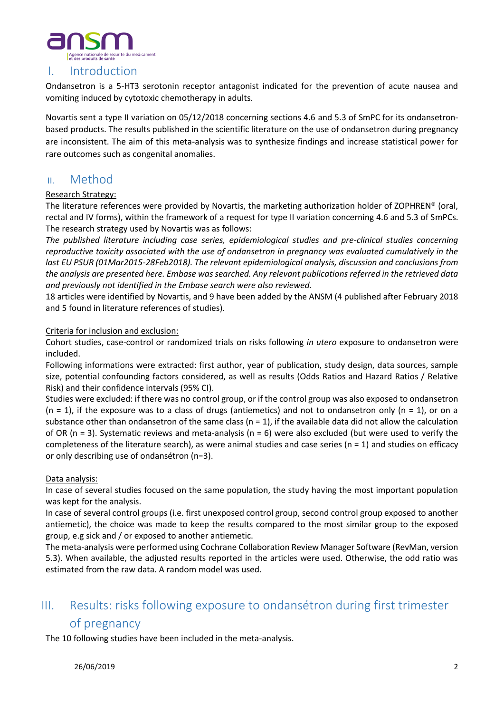

# I. Introduction

Ondansetron is a 5-HT3 serotonin receptor antagonist indicated for the prevention of acute nausea and vomiting induced by cytotoxic chemotherapy in adults.

Novartis sent a type II variation on 05/12/2018 concerning sections 4.6 and 5.3 of SmPC for its ondansetronbased products. The results published in the scientific literature on the use of ondansetron during pregnancy are inconsistent. The aim of this meta-analysis was to synthesize findings and increase statistical power for rare outcomes such as congenital anomalies.

### II. Method

#### Research Strategy:

The literature references were provided by Novartis, the marketing authorization holder of ZOPHREN® (oral, rectal and IV forms), within the framework of a request for type II variation concerning 4.6 and 5.3 of SmPCs. The research strategy used by Novartis was as follows:

*The published literature including case series, epidemiological studies and pre-clinical studies concerning reproductive toxicity associated with the use of ondansetron in pregnancy was evaluated cumulatively in the last EU PSUR (01Mar2015-28Feb2018). The relevant epidemiological analysis, discussion and conclusions from the analysis are presented here. Embase was searched. Any relevant publications referred in the retrieved data and previously not identified in the Embase search were also reviewed.*

18 articles were identified by Novartis, and 9 have been added by the ANSM (4 published after February 2018 and 5 found in literature references of studies).

#### Criteria for inclusion and exclusion:

Cohort studies, case-control or randomized trials on risks following *in utero* exposure to ondansetron were included.

Following informations were extracted: first author, year of publication, study design, data sources, sample size, potential confounding factors considered, as well as results (Odds Ratios and Hazard Ratios / Relative Risk) and their confidence intervals (95% CI).

Studies were excluded: if there was no control group, or if the control group was also exposed to ondansetron  $(n = 1)$ , if the exposure was to a class of drugs (antiemetics) and not to ondansetron only  $(n = 1)$ , or on a substance other than ondansetron of the same class ( $n = 1$ ), if the available data did not allow the calculation of OR (n = 3). Systematic reviews and meta-analysis (n = 6) were also excluded (but were used to verify the completeness of the literature search), as were animal studies and case series ( $n = 1$ ) and studies on efficacy or only describing use of ondansétron (n=3).

#### Data analysis:

In case of several studies focused on the same population, the study having the most important population was kept for the analysis.

In case of several control groups (i.e. first unexposed control group, second control group exposed to another antiemetic), the choice was made to keep the results compared to the most similar group to the exposed group, e.g sick and / or exposed to another antiemetic.

The meta-analysis were performed using Cochrane Collaboration Review Manager Software (RevMan, version 5.3). When available, the adjusted results reported in the articles were used. Otherwise, the odd ratio was estimated from the raw data. A random model was used.

# III. Results: risks following exposure to ondansétron during first trimester of pregnancy

The 10 following studies have been included in the meta-analysis.

#### 26/06/2019 2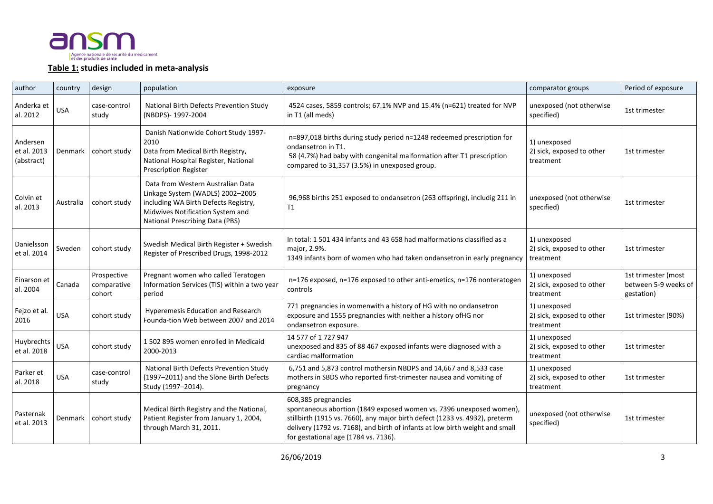

#### **Table 1: studies included in meta-analysis**

| author                                | country    | design                               | population                                                                                                                                                                                  | exposure                                                                                                                                                                                                                                                                                          | comparator groups                                      | Period of exposure                                        |
|---------------------------------------|------------|--------------------------------------|---------------------------------------------------------------------------------------------------------------------------------------------------------------------------------------------|---------------------------------------------------------------------------------------------------------------------------------------------------------------------------------------------------------------------------------------------------------------------------------------------------|--------------------------------------------------------|-----------------------------------------------------------|
| Anderka et<br>al. 2012                | <b>USA</b> | case-control<br>study                | National Birth Defects Prevention Study<br>(NBDPS)-1997-2004                                                                                                                                | 4524 cases, 5859 controls; 67.1% NVP and 15.4% (n=621) treated for NVP<br>in T1 (all meds)                                                                                                                                                                                                        | unexposed (not otherwise<br>specified)                 | 1st trimester                                             |
| Andersen<br>et al. 2013<br>(abstract) | Denmark    | cohort study                         | Danish Nationwide Cohort Study 1997-<br>2010<br>Data from Medical Birth Registry,<br>National Hospital Register, National<br><b>Prescription Register</b>                                   | n=897,018 births during study period n=1248 redeemed prescription for<br>ondansetron in T1.<br>58 (4.7%) had baby with congenital malformation after T1 prescription<br>compared to 31,357 (3.5%) in unexposed group.                                                                             | 1) unexposed<br>2) sick, exposed to other<br>treatment | 1st trimester                                             |
| Colvin et<br>al. 2013                 | Australia  | cohort study                         | Data from Western Australian Data<br>Linkage System (WADLS) 2002-2005<br>including WA Birth Defects Registry,<br>Midwives Notification System and<br><b>National Prescribing Data (PBS)</b> | 96,968 births 251 exposed to ondansetron (263 offspring), includig 211 in<br>T1                                                                                                                                                                                                                   | unexposed (not otherwise<br>specified)                 | 1st trimester                                             |
| Danielsson<br>et al. 2014             | Sweden     | cohort study                         | Swedish Medical Birth Register + Swedish<br>Register of Prescribed Drugs, 1998-2012                                                                                                         | In total: 1 501 434 infants and 43 658 had malformations classified as a<br>major, 2.9%.<br>1349 infants born of women who had taken ondansetron in early pregnancy                                                                                                                               | 1) unexposed<br>2) sick, exposed to other<br>treatment | 1st trimester                                             |
| Einarson et<br>al. 2004               | Canada     | Prospective<br>comparative<br>cohort | Pregnant women who called Teratogen<br>Information Services (TIS) within a two year<br>period                                                                                               | n=176 exposed, n=176 exposed to other anti-emetics, n=176 nonteratogen<br>controls                                                                                                                                                                                                                | 1) unexposed<br>2) sick, exposed to other<br>treatment | 1st trimester (most<br>between 5-9 weeks of<br>gestation) |
| Fejzo et al.<br>2016                  | <b>USA</b> | cohort study                         | Hyperemesis Education and Research<br>Founda-tion Web between 2007 and 2014                                                                                                                 | 771 pregnancies in womenwith a history of HG with no ondansetron<br>exposure and 1555 pregnancies with neither a history ofHG nor<br>ondansetron exposure.                                                                                                                                        | 1) unexposed<br>2) sick, exposed to other<br>treatment | 1st trimester (90%)                                       |
| Huybrechts<br>et al. 2018             | <b>USA</b> | cohort study                         | 1 502 895 women enrolled in Medicaid<br>2000-2013                                                                                                                                           | 14 577 of 1 727 947<br>unexposed and 835 of 88 467 exposed infants were diagnosed with a<br>cardiac malformation                                                                                                                                                                                  | 1) unexposed<br>2) sick, exposed to other<br>treatment | 1st trimester                                             |
| Parker et<br>al. 2018                 | <b>USA</b> | case-control<br>study                | National Birth Defects Prevention Study<br>(1997-2011) and the Slone Birth Defects<br>Study (1997-2014).                                                                                    | 6,751 and 5,873 control mothersin NBDPS and 14,667 and 8,533 case<br>mothers in SBDS who reported first-trimester nausea and vomiting of<br>pregnancy                                                                                                                                             | 1) unexposed<br>2) sick, exposed to other<br>treatment | 1st trimester                                             |
| Pasternak<br>et al. 2013              | Denmark    | cohort study                         | Medical Birth Registry and the National,<br>Patient Register from January 1, 2004,<br>through March 31, 2011.                                                                               | 608,385 pregnancies<br>spontaneous abortion (1849 exposed women vs. 7396 unexposed women),<br>stillbirth (1915 vs. 7660), any major birth defect (1233 vs. 4932), preterm<br>delivery (1792 vs. 7168), and birth of infants at low birth weight and small<br>for gestational age (1784 vs. 7136). | unexposed (not otherwise<br>specified)                 | 1st trimester                                             |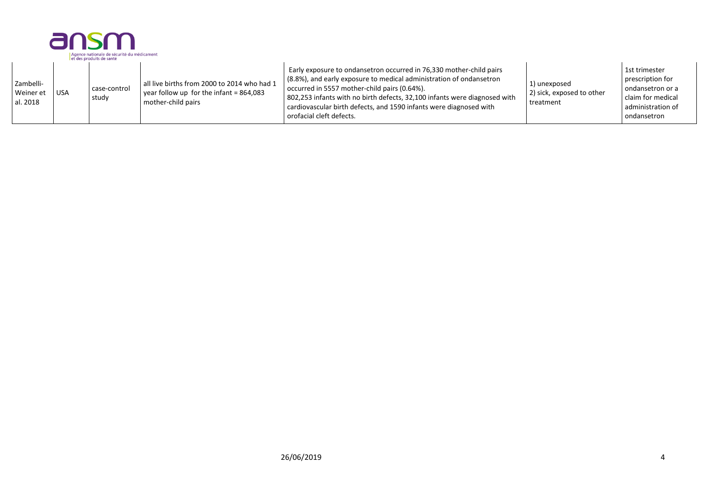|                                    |            | ansm<br>Agence nationale de sécurité du médicament<br>et des produits de santé |                                                                                                                |                                                                                                                                                                                                                                                                                                                                                                           |                                                        |                                                                                                                    |
|------------------------------------|------------|--------------------------------------------------------------------------------|----------------------------------------------------------------------------------------------------------------|---------------------------------------------------------------------------------------------------------------------------------------------------------------------------------------------------------------------------------------------------------------------------------------------------------------------------------------------------------------------------|--------------------------------------------------------|--------------------------------------------------------------------------------------------------------------------|
| Zambelli-<br>Weiner et<br>al. 2018 | <b>USA</b> | case-control<br>study                                                          | all live births from 2000 to 2014 who had 1<br>year follow up for the infant = $864,083$<br>mother-child pairs | Early exposure to ondansetron occurred in 76,330 mother-child pairs<br>(8.8%), and early exposure to medical administration of ondansetron<br>occurred in 5557 mother-child pairs (0.64%).<br>802,253 infants with no birth defects, 32,100 infants were diagnosed with<br>cardiovascular birth defects, and 1590 infants were diagnosed with<br>orofacial cleft defects. | 1) unexposed<br>2) sick, exposed to other<br>treatment | 1st trimester<br>prescription for<br>I ondansetron or a<br>claim for medical<br>administration of<br>l ondansetron |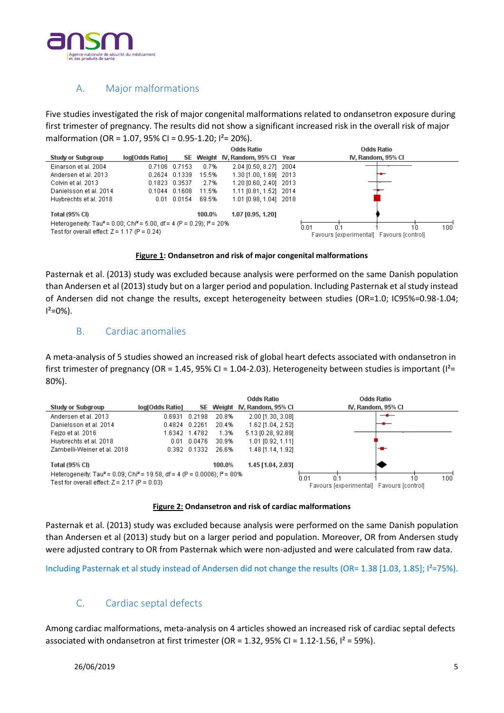

### A. Major malformations

Five studies investigated the risk of major congenital malformations related to ondansetron exposure during first trimester of pregnancy. The results did not show a significant increased risk in the overall risk of major malformation (OR = 1.07, 95% CI = 0.95-1.20; I²= 20%).



#### **Figure 1: Ondansetron and risk of major congenital malformations**

Pasternak et al. (2013) study was excluded because analysis were performed on the same Danish population than Andersen et al (2013) study but on a larger period and population. Including Pasternak et al study instead of Andersen did not change the results, except heterogeneity between studies (OR=1.0; IC95%=0.98-1.04;  $I^2=0\%$ ).

#### B. Cardiac anomalies

A meta-analysis of 5 studies showed an increased risk of global heart defects associated with ondansetron in first trimester of pregnancy (OR = 1.45, 95% CI = 1.04-2.03). Heterogeneity between studies is important ( $I^2=$ 80%).

| Study or Subgroup                                                                                                                                   | log[Odds Ratio] | SE.                                              | Odds Ratio<br>Weight N, Random, 95% CI |  | Odds Ratio<br>IV, Random, 95% CI |
|-----------------------------------------------------------------------------------------------------------------------------------------------------|-----------------|--------------------------------------------------|----------------------------------------|--|----------------------------------|
| Andersen et al. 2013                                                                                                                                | 0.6931          | 20.8%<br>0.2198                                  | 2.00 [1.30, 3.08]                      |  |                                  |
| Danielsson et al. 2014                                                                                                                              | 0.4824          | 0.2261<br>20.4%                                  | 1.62 [1.04, 2.52]                      |  |                                  |
| Feizo et al. 2016                                                                                                                                   | 1.6342 1.4782   | 1.3%                                             | 5.13 [0.28, 92.89]                     |  |                                  |
| Huybrechts et al. 2018                                                                                                                              | 0.01            | 0.0476<br>30.9%                                  | 1.01 [0.92, 1.11]                      |  |                                  |
| Zambelli-Weiner et al. 2018                                                                                                                         | 0.392 0.1332    | 26.6%                                            | 1.48 [1.14, 1.92]                      |  |                                  |
| Total (95% CI)                                                                                                                                      |                 | 100.0%                                           | 1.45 [1.04, 2.03]                      |  |                                  |
| Heterogeneity: Tau <sup>2</sup> = 0.09; Chi <sup>2</sup> = 19.58, df = 4 (P = 0.0006); $P = 80\%$<br>Test for overall effect: $Z = 2.17$ (P = 0.03) |                 | 0.01<br>Favours [experimental] Favours [control] | 100<br>10                              |  |                                  |

#### **Figure 2: Ondansetron and risk of cardiac malformations**

Pasternak et al. (2013) study was excluded because analysis were performed on the same Danish population than Andersen et al (2013) study but on a larger period and population. Moreover, OR from Andersen study were adjusted contrary to OR from Pasternak which were non-adjusted and were calculated from raw data.

Including Pasternak et al study instead of Andersen did not change the results (OR= 1.38 [1.03, 1.85];  $I^2$ =75%).

### C. Cardiac septal defects

Among cardiac malformations, meta-analysis on 4 articles showed an increased risk of cardiac septal defects associated with ondansetron at first trimester (OR = 1.32, 95% CI = 1.12-1.56,  $I^2$  = 59%).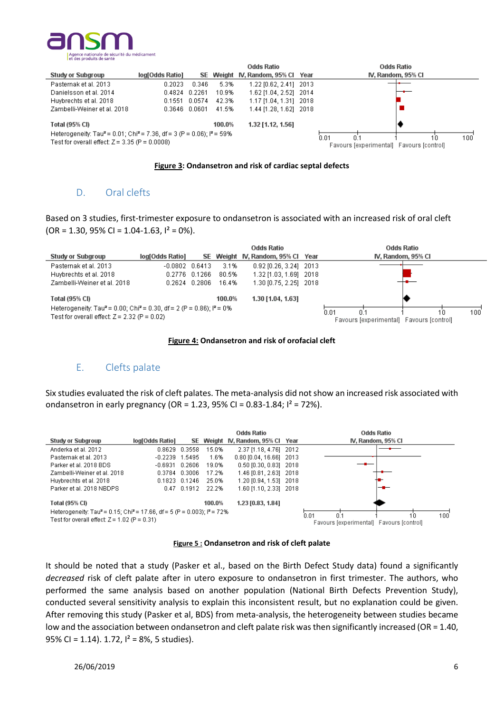



#### **Figure 3: Ondansetron and risk of cardiac septal defects**

#### D. Oral clefts

Based on 3 studies, first-trimester exposure to ondansetron is associated with an increased risk of oral cleft  $(OR = 1.30, 95\% CI = 1.04 - 1.63, I<sup>2</sup> = 0\%).$ 



#### **Figure 4: Ondansetron and risk of orofacial cleft**

#### E. Clefts palate

Six studies evaluated the risk of cleft palates. The meta-analysis did not show an increased risk associated with ondansetron in early pregnancy (OR = 1.23, 95% CI = 0.83-1.84;  $I^2$  = 72%).

|                                                                                                            |                 |               |                   | Odds Ratio                               | <b>Odds Ratio</b>  |
|------------------------------------------------------------------------------------------------------------|-----------------|---------------|-------------------|------------------------------------------|--------------------|
| <b>Study or Subgroup</b>                                                                                   | log[Odds Ratio] |               |                   | SE Weight IV, Random, 95% CI Year        | IV, Random, 95% CI |
| Anderka et al. 2012                                                                                        | 0.8629          | 0.3558        | 15.0%             | 2.37 [1.18, 4.76] 2012                   |                    |
| Pasternak et al. 2013                                                                                      | $-0.2239$       | 1.5495        | 1.6%              | 0.80 [0.04, 16.66] 2013                  |                    |
| Parker et al. 2018 BDS                                                                                     | $-0.6931$       | 0.2606        | 19.0%             | $0.50$ [0.30, 0.83] 2018                 |                    |
| Zambelli-Weiner et al. 2018                                                                                |                 | 0.3784 0.3006 | 17.2%             | 1.46 [0.81, 2.63] 2018                   |                    |
| Huybrechts et al. 2018                                                                                     |                 | 0.1823 0.1246 | 25.0%             | 1.20 [0.94, 1.53] 2018                   |                    |
| Parker et al. 2018 NBDPS                                                                                   |                 | 0.47 0.1912   | - 22.2%           | 1.60 [1.10, 2.33] 2018                   |                    |
| 100.0%<br>Total (95% CI)                                                                                   |                 |               | 1.23 [0.83, 1.84] |                                          |                    |
| Heterogeneity: Tau <sup>2</sup> = 0.15; Chi <sup>2</sup> = 17.66, df = 5 (P = 0.003); i <sup>2</sup> = 72% |                 |               |                   |                                          | 0.01<br>100<br>10  |
| Test for overall effect: $Z = 1.02$ (P = 0.31)                                                             |                 |               |                   | Favours [experimental] Favours [control] |                    |



It should be noted that a study (Pasker et al., based on the Birth Defect Study data) found a significantly *decreased* risk of cleft palate after in utero exposure to ondansetron in first trimester. The authors, who performed the same analysis based on another population (National Birth Defects Prevention Study), conducted several sensitivity analysis to explain this inconsistent result, but no explanation could be given. After removing this study (Pasker et al, BDS) from meta-analysis, the heterogeneity between studies became low and the association between ondansetron and cleft palate risk was then significantly increased (OR = 1.40, 95% CI = 1.14). 1.72,  $I^2$  = 8%, 5 studies).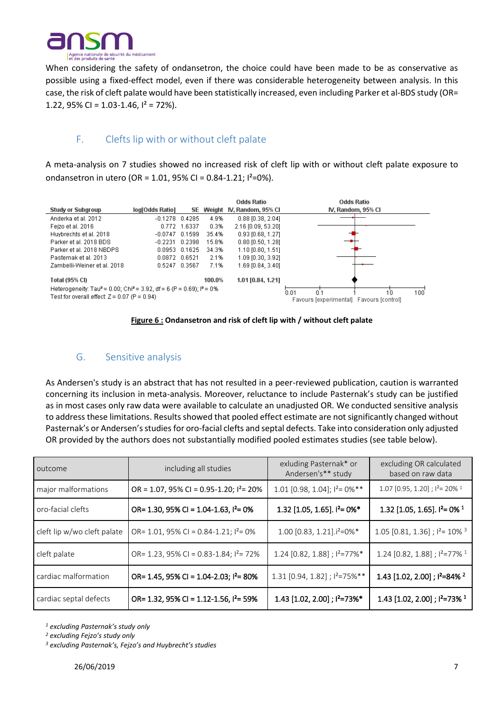

When considering the safety of ondansetron, the choice could have been made to be as conservative as possible using a fixed-effect model, even if there was considerable heterogeneity between analysis. In this case, the risk of cleft palate would have been statistically increased, even including Parker et al-BDS study (OR= 1.22, 95% CI =  $1.03 - 1.46$ ,  $I^2 = 72%$ ).

### F. Clefts lip with or without cleft palate

A meta-analysis on 7 studies showed no increased risk of cleft lip with or without cleft palate exposure to ondansetron in utero (OR = 1.01, 95% CI = 0.84-1.21;  $1^{2}=0$ %).





### G. Sensitive analysis

As Andersen's study is an abstract that has not resulted in a peer-reviewed publication, caution is warranted concerning its inclusion in meta-analysis. Moreover, reluctance to include Pasternak's study can be justified as in most cases only raw data were available to calculate an unadjusted OR. We conducted sensitive analysis to address these limitations. Results showed that pooled effect estimate are not significantly changed without Pasternak's or Andersen's studies for oro-facial clefts and septal defects. Take into consideration only adjusted OR provided by the authors does not substantially modified pooled estimates studies (see table below).

| outcome                     | including all studies                          | exluding Pasternak* or<br>Andersen's** study | excluding OR calculated<br>based on raw data    |  |
|-----------------------------|------------------------------------------------|----------------------------------------------|-------------------------------------------------|--|
| major malformations         | OR = 1.07, 95% CI = 0.95-1.20; $1^2$ = 20%     | 1.01 [0.98, 1.04]; $1^2$ = 0%**              | 1.07 [0.95, 1.20] ; $1^2$ = 20% <sup>1</sup>    |  |
| oro-facial clefts           | OR= 1.30, 95% CI = $1.04 - 1.63$ , $1^2 = 0\%$ | 1.32 [1.05, 1.65]. $I^2 = 0\%$ *             | 1.32 [1.05, 1.65]. $I^2$ = 0% <sup>1</sup>      |  |
| cleft lip w/wo cleft palate | OR= 1.01, 95% CI = 0.84-1.21; $1^2$ = 0%       | 1.00 $[0.83, 1.21]$ . $i^2$ =0%*             | 1.05 [0.81, 1.36]; $I^2$ = 10% <sup>3</sup>     |  |
| cleft palate                | OR= 1.23, 95% CI = 0.83-1.84; $I^2$ = 72%      | 1.24 [0.82, 1.88] ; $1^2 = 77\%$ *           | 1.24 $[0.82, 1.88]$ ; $I^2 = 77\%$ <sup>1</sup> |  |
| cardiac malformation        | OR= 1.45, 95% CI = 1.04-2.03; $I^2$ = 80%      | $1.31$ [0.94, 1.82]; $1^2 = 75\%$ **         | 1.43 [1.02, 2.00]; $1^2=84\%$ <sup>2</sup>      |  |
| cardiac septal defects      | OR= 1.32, 95% CI = 1.12-1.56, $I^2$ = 59%      | 1.43 [1.02, 2.00]; $I^2 = 73\%$ *            | 1.43 [1.02, 2.00]; $1^2$ =73% <sup>1</sup>      |  |

*<sup>1</sup> excluding Pasternak's study only*

*<sup>2</sup> excluding Fejzo's study only*

*<sup>3</sup> excluding Pasternak's, Fejzo's and Huybrecht's studies*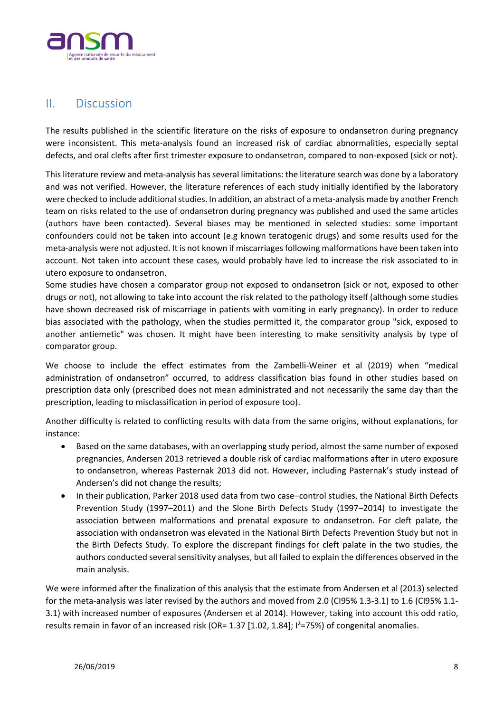

## II. Discussion

The results published in the scientific literature on the risks of exposure to ondansetron during pregnancy were inconsistent. This meta-analysis found an increased risk of cardiac abnormalities, especially septal defects, and oral clefts after first trimester exposure to ondansetron, compared to non-exposed (sick or not).

This literature review and meta-analysis has several limitations: the literature search was done by a laboratory and was not verified. However, the literature references of each study initially identified by the laboratory were checked to include additional studies. In addition, an abstract of a meta-analysis made by another French team on risks related to the use of ondansetron during pregnancy was published and used the same articles (authors have been contacted). Several biases may be mentioned in selected studies: some important confounders could not be taken into account (e.g known teratogenic drugs) and some results used for the meta-analysis were not adjusted. It is not known if miscarriages following malformations have been taken into account. Not taken into account these cases, would probably have led to increase the risk associated to in utero exposure to ondansetron.

Some studies have chosen a comparator group not exposed to ondansetron (sick or not, exposed to other drugs or not), not allowing to take into account the risk related to the pathology itself (although some studies have shown decreased risk of miscarriage in patients with vomiting in early pregnancy). In order to reduce bias associated with the pathology, when the studies permitted it, the comparator group "sick, exposed to another antiemetic" was chosen. It might have been interesting to make sensitivity analysis by type of comparator group.

We choose to include the effect estimates from the Zambelli-Weiner et al (2019) when "medical administration of ondansetron" occurred, to address classification bias found in other studies based on prescription data only (prescribed does not mean administrated and not necessarily the same day than the prescription, leading to misclassification in period of exposure too).

Another difficulty is related to conflicting results with data from the same origins, without explanations, for instance:

- Based on the same databases, with an overlapping study period, almost the same number of exposed pregnancies, Andersen 2013 retrieved a double risk of cardiac malformations after in utero exposure to ondansetron, whereas Pasternak 2013 did not. However, including Pasternak's study instead of Andersen's did not change the results;
- In their publication, Parker 2018 used data from two case–control studies, the National Birth Defects Prevention Study (1997–2011) and the Slone Birth Defects Study (1997–2014) to investigate the association between malformations and prenatal exposure to ondansetron. For cleft palate, the association with ondansetron was elevated in the National Birth Defects Prevention Study but not in the Birth Defects Study. To explore the discrepant findings for cleft palate in the two studies, the authors conducted several sensitivity analyses, but all failed to explain the differences observed in the main analysis.

We were informed after the finalization of this analysis that the estimate from Andersen et al (2013) selected for the meta-analysis was later revised by the authors and moved from 2.0 (CI95% 1.3-3.1) to 1.6 (CI95% 1.1- 3.1) with increased number of exposures (Andersen et al 2014). However, taking into account this odd ratio, results remain in favor of an increased risk (OR= 1.37 [1.02, 1.84]; I²=75%) of congenital anomalies.